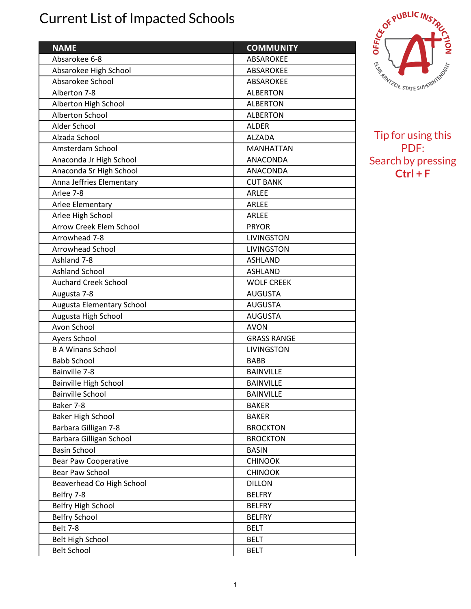## Current List of Impacted Schools

| <b>NAME</b>                                         | <b>COMMUNITY</b>   |
|-----------------------------------------------------|--------------------|
| Absarokee 6-8                                       | ABSAROKEE          |
| Absarokee High School                               | <b>ABSAROKEE</b>   |
| Absarokee School                                    | ABSAROKEE          |
| Alberton 7-8                                        | <b>ALBERTON</b>    |
| Alberton High School                                | <b>ALBERTON</b>    |
| Alberton School                                     | <b>ALBERTON</b>    |
| Alder School                                        | <b>ALDER</b>       |
| Alzada School                                       | <b>ALZADA</b>      |
| Amsterdam School                                    | <b>MANHATTAN</b>   |
| Anaconda Jr High School                             | ANACONDA           |
| Anaconda Sr High School                             | ANACONDA           |
| Anna Jeffries Elementary                            | <b>CUT BANK</b>    |
| Arlee 7-8                                           | ARLEE              |
|                                                     | <b>ARLEE</b>       |
| Arlee Elementary                                    | ARLEE              |
| Arlee High School<br><b>Arrow Creek Elem School</b> | <b>PRYOR</b>       |
|                                                     |                    |
| Arrowhead 7-8                                       | <b>LIVINGSTON</b>  |
| <b>Arrowhead School</b><br>Ashland 7-8              | <b>LIVINGSTON</b>  |
|                                                     | <b>ASHLAND</b>     |
| <b>Ashland School</b>                               | <b>ASHLAND</b>     |
| <b>Auchard Creek School</b>                         | <b>WOLF CREEK</b>  |
| Augusta 7-8                                         | <b>AUGUSTA</b>     |
| Augusta Elementary School                           | <b>AUGUSTA</b>     |
| Augusta High School                                 | <b>AUGUSTA</b>     |
| Avon School                                         | <b>AVON</b>        |
| Ayers School                                        | <b>GRASS RANGE</b> |
| <b>B A Winans School</b>                            | <b>LIVINGSTON</b>  |
| <b>Babb School</b>                                  | <b>BABB</b>        |
| Bainville 7-8                                       | <b>BAINVILLE</b>   |
| Bainville High School                               | <b>BAINVILLE</b>   |
| <b>Bainville School</b>                             | <b>BAINVILLE</b>   |
| Baker 7-8                                           | <b>BAKER</b>       |
| <b>Baker High School</b>                            | <b>BAKER</b>       |
| Barbara Gilligan 7-8                                | <b>BROCKTON</b>    |
| Barbara Gilligan School                             | <b>BROCKTON</b>    |
| <b>Basin School</b>                                 | <b>BASIN</b>       |
| <b>Bear Paw Cooperative</b>                         | <b>CHINOOK</b>     |
| Bear Paw School                                     | <b>CHINOOK</b>     |
| Beaverhead Co High School                           | <b>DILLON</b>      |
| Belfry 7-8                                          | <b>BELFRY</b>      |
| Belfry High School                                  | <b>BELFRY</b>      |
| <b>Belfry School</b>                                | <b>BELFRY</b>      |
| <b>Belt 7-8</b>                                     | <b>BELT</b>        |
| <b>Belt High School</b>                             | <b>BELT</b>        |
| <b>Belt School</b>                                  | <b>BELT</b>        |



Tip for using this PDF: Search by pressing **Ctrl + F**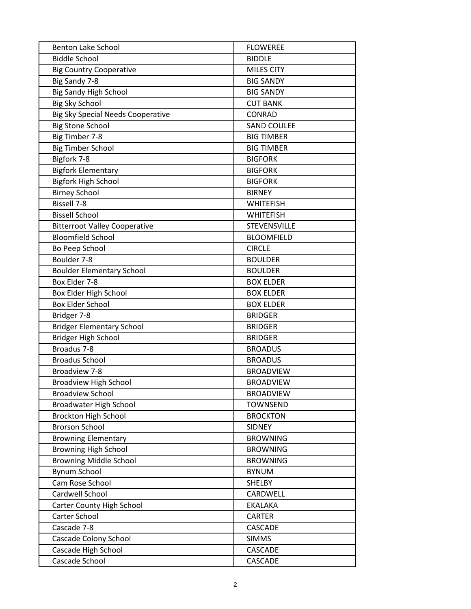| <b>Benton Lake School</b>                | <b>FLOWEREE</b>    |
|------------------------------------------|--------------------|
| <b>Biddle School</b>                     | <b>BIDDLE</b>      |
| <b>Big Country Cooperative</b>           | <b>MILES CITY</b>  |
| Big Sandy 7-8                            | <b>BIG SANDY</b>   |
| <b>Big Sandy High School</b>             | <b>BIG SANDY</b>   |
| <b>Big Sky School</b>                    | <b>CUT BANK</b>    |
| <b>Big Sky Special Needs Cooperative</b> | CONRAD             |
| <b>Big Stone School</b>                  | <b>SAND COULEE</b> |
| Big Timber 7-8                           | <b>BIG TIMBER</b>  |
| <b>Big Timber School</b>                 | <b>BIG TIMBER</b>  |
| Bigfork 7-8                              | <b>BIGFORK</b>     |
| <b>Bigfork Elementary</b>                | <b>BIGFORK</b>     |
| <b>Bigfork High School</b>               | <b>BIGFORK</b>     |
| <b>Birney School</b>                     | <b>BIRNEY</b>      |
| <b>Bissell 7-8</b>                       | <b>WHITEFISH</b>   |
| <b>Bissell School</b>                    | <b>WHITEFISH</b>   |
| <b>Bitterroot Valley Cooperative</b>     | STEVENSVILLE       |
| <b>Bloomfield School</b>                 | <b>BLOOMFIELD</b>  |
| Bo Peep School                           | <b>CIRCLE</b>      |
| Boulder 7-8                              | <b>BOULDER</b>     |
| <b>Boulder Elementary School</b>         | <b>BOULDER</b>     |
| Box Elder 7-8                            | <b>BOX ELDER</b>   |
| Box Elder High School                    | <b>BOX ELDER</b>   |
| <b>Box Elder School</b>                  | <b>BOX ELDER</b>   |
| Bridger 7-8                              | <b>BRIDGER</b>     |
| <b>Bridger Elementary School</b>         | <b>BRIDGER</b>     |
| Bridger High School                      | <b>BRIDGER</b>     |
| Broadus 7-8                              | <b>BROADUS</b>     |
| <b>Broadus School</b>                    | <b>BROADUS</b>     |
| Broadview 7-8                            | <b>BROADVIEW</b>   |
| <b>Broadview High School</b>             | <b>BROADVIEW</b>   |
| <b>Broadview School</b>                  | <b>BROADVIEW</b>   |
| <b>Broadwater High School</b>            | <b>TOWNSEND</b>    |
| <b>Brockton High School</b>              | <b>BROCKTON</b>    |
| <b>Brorson School</b>                    | <b>SIDNEY</b>      |
| <b>Browning Elementary</b>               | <b>BROWNING</b>    |
| <b>Browning High School</b>              | <b>BROWNING</b>    |
| <b>Browning Middle School</b>            | <b>BROWNING</b>    |
| <b>Bynum School</b>                      | <b>BYNUM</b>       |
| Cam Rose School                          | SHELBY             |
| Cardwell School                          | CARDWELL           |
| Carter County High School                | <b>EKALAKA</b>     |
| Carter School                            | CARTER             |
| Cascade 7-8                              | CASCADE            |
| Cascade Colony School                    | <b>SIMMS</b>       |
| Cascade High School                      | CASCADE            |
| Cascade School                           | CASCADE            |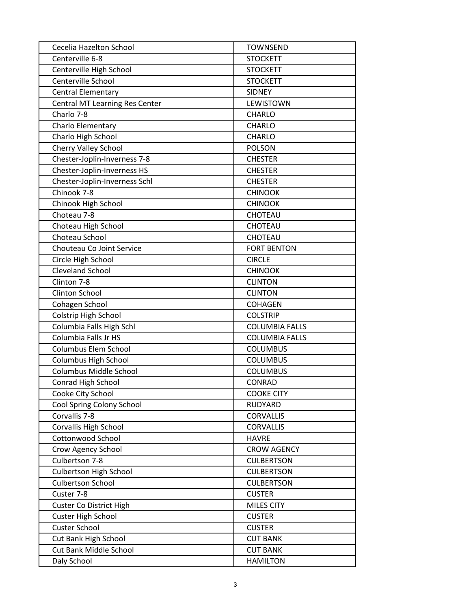| Cecelia Hazelton School        | <b>TOWNSEND</b>       |
|--------------------------------|-----------------------|
| Centerville 6-8                | <b>STOCKETT</b>       |
| Centerville High School        | <b>STOCKETT</b>       |
| Centerville School             | <b>STOCKETT</b>       |
| <b>Central Elementary</b>      | <b>SIDNEY</b>         |
| Central MT Learning Res Center | <b>LEWISTOWN</b>      |
| Charlo 7-8                     | CHARLO                |
| Charlo Elementary              | CHARLO                |
| Charlo High School             | <b>CHARLO</b>         |
| Cherry Valley School           | <b>POLSON</b>         |
| Chester-Joplin-Inverness 7-8   | <b>CHESTER</b>        |
| Chester-Joplin-Inverness HS    | <b>CHESTER</b>        |
| Chester-Joplin-Inverness Schl  | <b>CHESTER</b>        |
| Chinook 7-8                    | <b>CHINOOK</b>        |
| Chinook High School            | <b>CHINOOK</b>        |
| Choteau 7-8                    | <b>CHOTEAU</b>        |
| Choteau High School            | CHOTEAU               |
| Choteau School                 | CHOTEAU               |
| Chouteau Co Joint Service      | <b>FORT BENTON</b>    |
| Circle High School             | <b>CIRCLE</b>         |
| <b>Cleveland School</b>        | <b>CHINOOK</b>        |
| Clinton 7-8                    | <b>CLINTON</b>        |
| Clinton School                 | <b>CLINTON</b>        |
| Cohagen School                 | <b>COHAGEN</b>        |
| Colstrip High School           | <b>COLSTRIP</b>       |
| Columbia Falls High Schl       | <b>COLUMBIA FALLS</b> |
| Columbia Falls Jr HS           | <b>COLUMBIA FALLS</b> |
| Columbus Elem School           | <b>COLUMBUS</b>       |
| <b>Columbus High School</b>    | <b>COLUMBUS</b>       |
| Columbus Middle School         | <b>COLUMBUS</b>       |
| <b>Conrad High School</b>      | <b>CONRAD</b>         |
| Cooke City School              | <b>COOKE CITY</b>     |
| Cool Spring Colony School      | RUDYARD               |
| Corvallis 7-8                  | <b>CORVALLIS</b>      |
| Corvallis High School          | <b>CORVALLIS</b>      |
| <b>Cottonwood School</b>       | <b>HAVRE</b>          |
| Crow Agency School             | <b>CROW AGENCY</b>    |
| Culbertson 7-8                 | <b>CULBERTSON</b>     |
| Culbertson High School         | <b>CULBERTSON</b>     |
| <b>Culbertson School</b>       | <b>CULBERTSON</b>     |
| Custer 7-8                     | <b>CUSTER</b>         |
| <b>Custer Co District High</b> | <b>MILES CITY</b>     |
| <b>Custer High School</b>      | <b>CUSTER</b>         |
| <b>Custer School</b>           | <b>CUSTER</b>         |
| Cut Bank High School           | <b>CUT BANK</b>       |
| Cut Bank Middle School         | <b>CUT BANK</b>       |
| Daly School                    | <b>HAMILTON</b>       |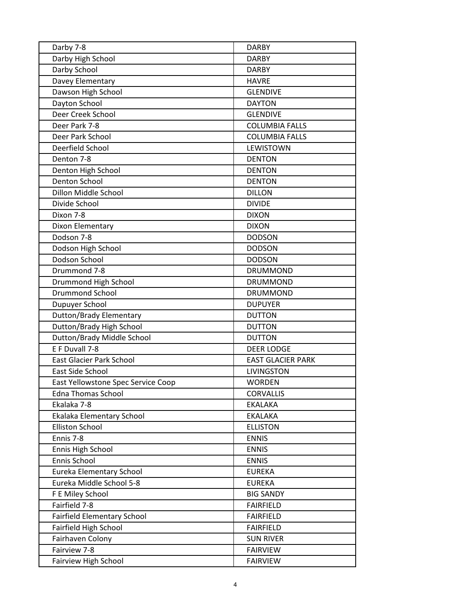| Darby 7-8                          | <b>DARBY</b>             |
|------------------------------------|--------------------------|
| Darby High School                  | <b>DARBY</b>             |
| Darby School                       | <b>DARBY</b>             |
| Davey Elementary                   | <b>HAVRE</b>             |
| Dawson High School                 | <b>GLENDIVE</b>          |
| Dayton School                      | <b>DAYTON</b>            |
| Deer Creek School                  | <b>GLENDIVE</b>          |
| Deer Park 7-8                      | <b>COLUMBIA FALLS</b>    |
| Deer Park School                   | <b>COLUMBIA FALLS</b>    |
| Deerfield School                   | LEWISTOWN                |
| Denton 7-8                         | <b>DENTON</b>            |
| Denton High School                 | <b>DENTON</b>            |
| <b>Denton School</b>               | <b>DENTON</b>            |
| Dillon Middle School               | <b>DILLON</b>            |
| Divide School                      | <b>DIVIDE</b>            |
| Dixon 7-8                          | <b>DIXON</b>             |
| Dixon Elementary                   | <b>DIXON</b>             |
| Dodson 7-8                         | <b>DODSON</b>            |
| Dodson High School                 | <b>DODSON</b>            |
| Dodson School                      | <b>DODSON</b>            |
| Drummond 7-8                       | <b>DRUMMOND</b>          |
| Drummond High School               | <b>DRUMMOND</b>          |
| <b>Drummond School</b>             | <b>DRUMMOND</b>          |
| Dupuyer School                     | <b>DUPUYER</b>           |
| <b>Dutton/Brady Elementary</b>     | <b>DUTTON</b>            |
| Dutton/Brady High School           | <b>DUTTON</b>            |
| Dutton/Brady Middle School         | <b>DUTTON</b>            |
| E F Duvall 7-8                     | <b>DEER LODGE</b>        |
| <b>East Glacier Park School</b>    | <b>EAST GLACIER PARK</b> |
| East Side School                   | <b>LIVINGSTON</b>        |
| East Yellowstone Spec Service Coop | <b>WORDEN</b>            |
| <b>Edna Thomas School</b>          | <b>CORVALLIS</b>         |
| Ekalaka 7-8                        | <b>EKALAKA</b>           |
| Ekalaka Elementary School          | <b>EKALAKA</b>           |
| <b>Elliston School</b>             | <b>ELLISTON</b>          |
| Ennis 7-8                          | <b>ENNIS</b>             |
| Ennis High School                  | <b>ENNIS</b>             |
| Ennis School                       | <b>ENNIS</b>             |
| Eureka Elementary School           | <b>EUREKA</b>            |
| Eureka Middle School 5-8           | <b>EUREKA</b>            |
| F E Miley School                   | <b>BIG SANDY</b>         |
| Fairfield 7-8                      | <b>FAIRFIELD</b>         |
| <b>Fairfield Elementary School</b> | <b>FAIRFIELD</b>         |
| Fairfield High School              | <b>FAIRFIELD</b>         |
| Fairhaven Colony                   | <b>SUN RIVER</b>         |
| Fairview 7-8                       | <b>FAIRVIEW</b>          |
| Fairview High School               | <b>FAIRVIEW</b>          |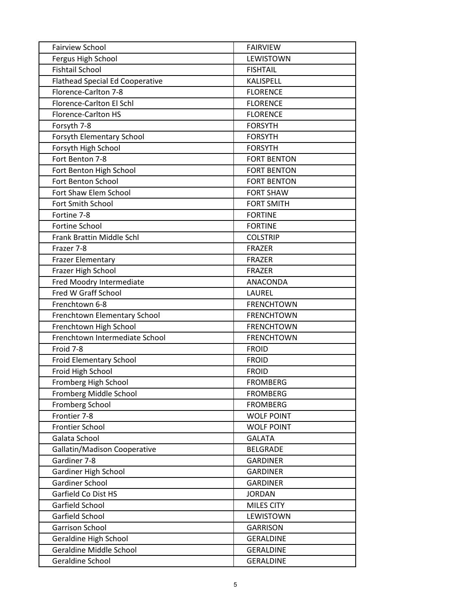| <b>Fairview School</b>                 | <b>FAIRVIEW</b>    |
|----------------------------------------|--------------------|
| Fergus High School                     | <b>LEWISTOWN</b>   |
| <b>Fishtail School</b>                 | <b>FISHTAIL</b>    |
| <b>Flathead Special Ed Cooperative</b> | KALISPELL          |
| Florence-Carlton 7-8                   | <b>FLORENCE</b>    |
| Florence-Carlton El Schl               | <b>FLORENCE</b>    |
| <b>Florence-Carlton HS</b>             | <b>FLORENCE</b>    |
| Forsyth 7-8                            | <b>FORSYTH</b>     |
| Forsyth Elementary School              | <b>FORSYTH</b>     |
| Forsyth High School                    | <b>FORSYTH</b>     |
| Fort Benton 7-8                        | <b>FORT BENTON</b> |
| Fort Benton High School                | <b>FORT BENTON</b> |
| Fort Benton School                     | <b>FORT BENTON</b> |
| Fort Shaw Elem School                  | <b>FORT SHAW</b>   |
| Fort Smith School                      | <b>FORT SMITH</b>  |
| Fortine 7-8                            | <b>FORTINE</b>     |
| Fortine School                         | <b>FORTINE</b>     |
| Frank Brattin Middle Schl              | <b>COLSTRIP</b>    |
| Frazer 7-8                             | <b>FRAZER</b>      |
| <b>Frazer Elementary</b>               | <b>FRAZER</b>      |
| Frazer High School                     | <b>FRAZER</b>      |
| Fred Moodry Intermediate               | ANACONDA           |
| Fred W Graff School                    | LAUREL             |
| Frenchtown 6-8                         | <b>FRENCHTOWN</b>  |
| Frenchtown Elementary School           | <b>FRENCHTOWN</b>  |
| Frenchtown High School                 | <b>FRENCHTOWN</b>  |
| Frenchtown Intermediate School         | <b>FRENCHTOWN</b>  |
| Froid 7-8                              | <b>FROID</b>       |
| Froid Elementary School                | <b>FROID</b>       |
| Froid High School                      | <b>FROID</b>       |
| Fromberg High School                   | <b>FROMBERG</b>    |
| Fromberg Middle School                 | <b>FROMBERG</b>    |
| Fromberg School                        | <b>FROMBERG</b>    |
| Frontier 7-8                           | <b>WOLF POINT</b>  |
| Frontier School                        | <b>WOLF POINT</b>  |
| Galata School                          | <b>GALATA</b>      |
| Gallatin/Madison Cooperative           | <b>BELGRADE</b>    |
| Gardiner 7-8                           | <b>GARDINER</b>    |
| Gardiner High School                   | <b>GARDINER</b>    |
| <b>Gardiner School</b>                 | <b>GARDINER</b>    |
| Garfield Co Dist HS                    | <b>JORDAN</b>      |
| Garfield School                        | MILES CITY         |
| Garfield School                        | LEWISTOWN          |
| <b>Garrison School</b>                 | <b>GARRISON</b>    |
| Geraldine High School                  | <b>GERALDINE</b>   |
| Geraldine Middle School                | <b>GERALDINE</b>   |
| Geraldine School                       | <b>GERALDINE</b>   |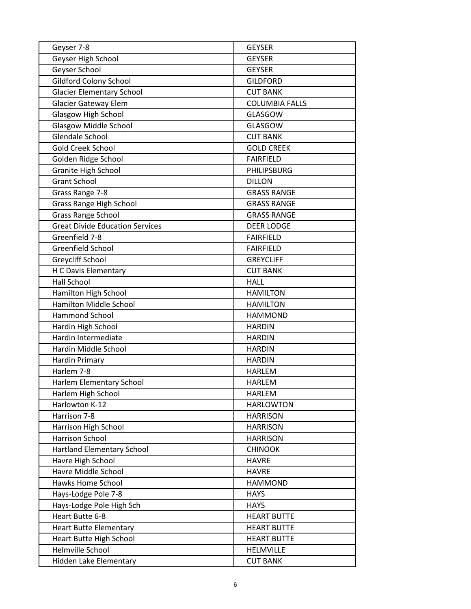| Geyser 7-8                             | <b>GEYSER</b>         |
|----------------------------------------|-----------------------|
| Geyser High School                     | <b>GEYSER</b>         |
| Geyser School                          | <b>GEYSER</b>         |
| <b>Gildford Colony School</b>          | <b>GILDFORD</b>       |
| <b>Glacier Elementary School</b>       | <b>CUT BANK</b>       |
| <b>Glacier Gateway Elem</b>            | <b>COLUMBIA FALLS</b> |
| Glasgow High School                    | <b>GLASGOW</b>        |
| <b>Glasgow Middle School</b>           | <b>GLASGOW</b>        |
| Glendale School                        | <b>CUT BANK</b>       |
| Gold Creek School                      | <b>GOLD CREEK</b>     |
| Golden Ridge School                    | <b>FAIRFIELD</b>      |
| Granite High School                    | PHILIPSBURG           |
| <b>Grant School</b>                    | <b>DILLON</b>         |
| Grass Range 7-8                        | <b>GRASS RANGE</b>    |
| Grass Range High School                | <b>GRASS RANGE</b>    |
| <b>Grass Range School</b>              | <b>GRASS RANGE</b>    |
| <b>Great Divide Education Services</b> | <b>DEER LODGE</b>     |
| Greenfield 7-8                         | <b>FAIRFIELD</b>      |
| Greenfield School                      | <b>FAIRFIELD</b>      |
| Greycliff School                       | <b>GREYCLIFF</b>      |
| H C Davis Elementary                   | <b>CUT BANK</b>       |
| <b>Hall School</b>                     | <b>HALL</b>           |
| Hamilton High School                   | <b>HAMILTON</b>       |
| Hamilton Middle School                 | <b>HAMILTON</b>       |
| Hammond School                         | <b>HAMMOND</b>        |
| Hardin High School                     | <b>HARDIN</b>         |
| Hardin Intermediate                    | <b>HARDIN</b>         |
| Hardin Middle School                   | <b>HARDIN</b>         |
| Hardin Primary                         | <b>HARDIN</b>         |
| Harlem 7-8                             | <b>HARLEM</b>         |
| Harlem Elementary School               | <b>HARLEM</b>         |
| Harlem High School                     | <b>HARLEM</b>         |
| Harlowton K-12                         | <b>HARLOWTON</b>      |
| Harrison 7-8                           | <b>HARRISON</b>       |
| Harrison High School                   | <b>HARRISON</b>       |
| <b>Harrison School</b>                 | <b>HARRISON</b>       |
| <b>Hartland Elementary School</b>      | <b>CHINOOK</b>        |
| Havre High School                      | <b>HAVRE</b>          |
| Havre Middle School                    | <b>HAVRE</b>          |
| Hawks Home School                      | <b>HAMMOND</b>        |
| Hays-Lodge Pole 7-8                    | <b>HAYS</b>           |
| Hays-Lodge Pole High Sch               | <b>HAYS</b>           |
| Heart Butte 6-8                        | <b>HEART BUTTE</b>    |
| <b>Heart Butte Elementary</b>          | <b>HEART BUTTE</b>    |
| Heart Butte High School                | <b>HEART BUTTE</b>    |
| Helmville School                       | <b>HELMVILLE</b>      |
| Hidden Lake Elementary                 | <b>CUT BANK</b>       |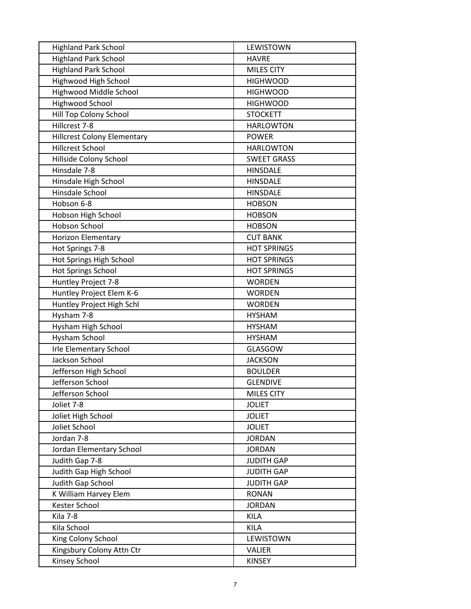| <b>Highland Park School</b>        | LEWISTOWN          |
|------------------------------------|--------------------|
| <b>Highland Park School</b>        | <b>HAVRE</b>       |
| <b>Highland Park School</b>        | MILES CITY         |
| Highwood High School               | <b>HIGHWOOD</b>    |
| Highwood Middle School             | <b>HIGHWOOD</b>    |
| <b>Highwood School</b>             | <b>HIGHWOOD</b>    |
| Hill Top Colony School             | <b>STOCKETT</b>    |
| Hillcrest 7-8                      | <b>HARLOWTON</b>   |
| <b>Hillcrest Colony Elementary</b> | <b>POWER</b>       |
| Hillcrest School                   | <b>HARLOWTON</b>   |
| Hillside Colony School             | <b>SWEET GRASS</b> |
| Hinsdale 7-8                       | <b>HINSDALE</b>    |
| Hinsdale High School               | <b>HINSDALE</b>    |
| Hinsdale School                    | <b>HINSDALE</b>    |
| Hobson 6-8                         | <b>HOBSON</b>      |
| Hobson High School                 | <b>HOBSON</b>      |
| <b>Hobson School</b>               | <b>HOBSON</b>      |
| <b>Horizon Elementary</b>          | <b>CUT BANK</b>    |
| Hot Springs 7-8                    | <b>HOT SPRINGS</b> |
| Hot Springs High School            | <b>HOT SPRINGS</b> |
| <b>Hot Springs School</b>          | <b>HOT SPRINGS</b> |
| Huntley Project 7-8                | <b>WORDEN</b>      |
| Huntley Project Elem K-6           | <b>WORDEN</b>      |
| Huntley Project High Schl          | <b>WORDEN</b>      |
| Hysham 7-8                         | <b>HYSHAM</b>      |
| Hysham High School                 | <b>HYSHAM</b>      |
| Hysham School                      | <b>HYSHAM</b>      |
| <b>Irle Elementary School</b>      | <b>GLASGOW</b>     |
| Jackson School                     | <b>JACKSON</b>     |
| Jefferson High School              | <b>BOULDER</b>     |
| Jefferson School                   | <b>GLENDIVE</b>    |
| Jefferson School                   | MILES CITY         |
| Joliet 7-8                         | <b>JOLIET</b>      |
| Joliet High School                 | <b>JOLIET</b>      |
| Joliet School                      | <b>JOLIET</b>      |
| Jordan 7-8                         | <b>JORDAN</b>      |
| Jordan Elementary School           | <b>JORDAN</b>      |
| Judith Gap 7-8                     | <b>JUDITH GAP</b>  |
| Judith Gap High School             | <b>JUDITH GAP</b>  |
| Judith Gap School                  | <b>JUDITH GAP</b>  |
| K William Harvey Elem              | <b>RONAN</b>       |
| Kester School                      | <b>JORDAN</b>      |
| Kila 7-8                           | <b>KILA</b>        |
| Kila School                        | <b>KILA</b>        |
| King Colony School                 | LEWISTOWN          |
| Kingsbury Colony Attn Ctr          | <b>VALIER</b>      |
| Kinsey School                      | <b>KINSEY</b>      |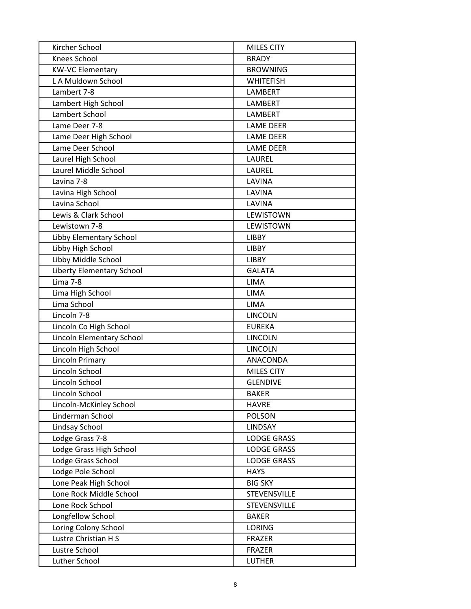| Kircher School            | <b>MILES CITY</b>   |
|---------------------------|---------------------|
| Knees School              | <b>BRADY</b>        |
| <b>KW-VC Elementary</b>   | <b>BROWNING</b>     |
| L A Muldown School        | <b>WHITEFISH</b>    |
| Lambert 7-8               | LAMBERT             |
| Lambert High School       | LAMBERT             |
| Lambert School            | LAMBERT             |
| Lame Deer 7-8             | <b>LAME DEER</b>    |
| Lame Deer High School     | <b>LAME DEER</b>    |
| Lame Deer School          | <b>LAME DEER</b>    |
| Laurel High School        | LAUREL              |
| Laurel Middle School      | LAUREL              |
| Lavina 7-8                | LAVINA              |
| Lavina High School        | LAVINA              |
| Lavina School             | LAVINA              |
| Lewis & Clark School      | LEWISTOWN           |
| Lewistown 7-8             | LEWISTOWN           |
| Libby Elementary School   | <b>LIBBY</b>        |
| Libby High School         | <b>LIBBY</b>        |
| Libby Middle School       | <b>LIBBY</b>        |
| Liberty Elementary School | <b>GALATA</b>       |
| Lima 7-8                  | <b>LIMA</b>         |
| Lima High School          | LIMA                |
| Lima School               | <b>LIMA</b>         |
| Lincoln 7-8               | <b>LINCOLN</b>      |
| Lincoln Co High School    | <b>EUREKA</b>       |
| Lincoln Elementary School | <b>LINCOLN</b>      |
| Lincoln High School       | <b>LINCOLN</b>      |
| <b>Lincoln Primary</b>    | ANACONDA            |
| Lincoln School            | <b>MILES CITY</b>   |
| Lincoln School            | <b>GLENDIVE</b>     |
| Lincoln School            | <b>BAKER</b>        |
| Lincoln-McKinley School   | <b>HAVRE</b>        |
| Linderman School          | <b>POLSON</b>       |
| Lindsay School            | <b>LINDSAY</b>      |
| Lodge Grass 7-8           | <b>LODGE GRASS</b>  |
| Lodge Grass High School   | <b>LODGE GRASS</b>  |
| Lodge Grass School        | <b>LODGE GRASS</b>  |
| Lodge Pole School         | <b>HAYS</b>         |
| Lone Peak High School     | <b>BIG SKY</b>      |
| Lone Rock Middle School   | <b>STEVENSVILLE</b> |
| Lone Rock School          | STEVENSVILLE        |
| Longfellow School         | <b>BAKER</b>        |
| Loring Colony School      | <b>LORING</b>       |
| Lustre Christian H S      | <b>FRAZER</b>       |
| Lustre School             | <b>FRAZER</b>       |
| Luther School             | <b>LUTHER</b>       |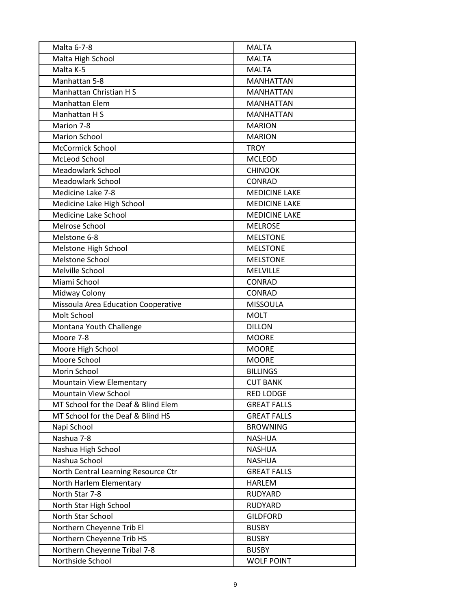| Malta 6-7-8                         | <b>MALTA</b>         |
|-------------------------------------|----------------------|
| Malta High School                   | <b>MALTA</b>         |
| Malta K-5                           | <b>MALTA</b>         |
| Manhattan 5-8                       | <b>MANHATTAN</b>     |
| Manhattan Christian H S             | <b>MANHATTAN</b>     |
| Manhattan Elem                      | <b>MANHATTAN</b>     |
| Manhattan H S                       | <b>MANHATTAN</b>     |
| Marion 7-8                          | <b>MARION</b>        |
| <b>Marion School</b>                | <b>MARION</b>        |
| <b>McCormick School</b>             | <b>TROY</b>          |
| McLeod School                       | <b>MCLEOD</b>        |
| <b>Meadowlark School</b>            | <b>CHINOOK</b>       |
| <b>Meadowlark School</b>            | <b>CONRAD</b>        |
| Medicine Lake 7-8                   | <b>MEDICINE LAKE</b> |
| Medicine Lake High School           | <b>MEDICINE LAKE</b> |
| Medicine Lake School                | <b>MEDICINE LAKE</b> |
| Melrose School                      | <b>MELROSE</b>       |
| Melstone 6-8                        | <b>MELSTONE</b>      |
| Melstone High School                | <b>MELSTONE</b>      |
| <b>Melstone School</b>              | <b>MELSTONE</b>      |
| Melville School                     | MELVILLE             |
| Miami School                        | <b>CONRAD</b>        |
| Midway Colony                       | <b>CONRAD</b>        |
| Missoula Area Education Cooperative | <b>MISSOULA</b>      |
| Molt School                         | <b>MOLT</b>          |
| Montana Youth Challenge             | <b>DILLON</b>        |
| Moore 7-8                           | <b>MOORE</b>         |
| Moore High School                   | <b>MOORE</b>         |
| Moore School                        | <b>MOORE</b>         |
| Morin School                        | <b>BILLINGS</b>      |
| Mountain View Elementary            | <b>CUT BANK</b>      |
| Mountain View School                | <b>RED LODGE</b>     |
| MT School for the Deaf & Blind Elem | <b>GREAT FALLS</b>   |
| MT School for the Deaf & Blind HS   | <b>GREAT FALLS</b>   |
| Napi School                         | <b>BROWNING</b>      |
| Nashua 7-8                          | <b>NASHUA</b>        |
| Nashua High School                  | <b>NASHUA</b>        |
| Nashua School                       | <b>NASHUA</b>        |
| North Central Learning Resource Ctr | <b>GREAT FALLS</b>   |
| North Harlem Elementary             | <b>HARLEM</b>        |
| North Star 7-8                      | RUDYARD              |
| North Star High School              | RUDYARD              |
| North Star School                   | <b>GILDFORD</b>      |
| Northern Cheyenne Trib El           | <b>BUSBY</b>         |
| Northern Cheyenne Trib HS           | <b>BUSBY</b>         |
| Northern Cheyenne Tribal 7-8        | <b>BUSBY</b>         |
| Northside School                    | <b>WOLF POINT</b>    |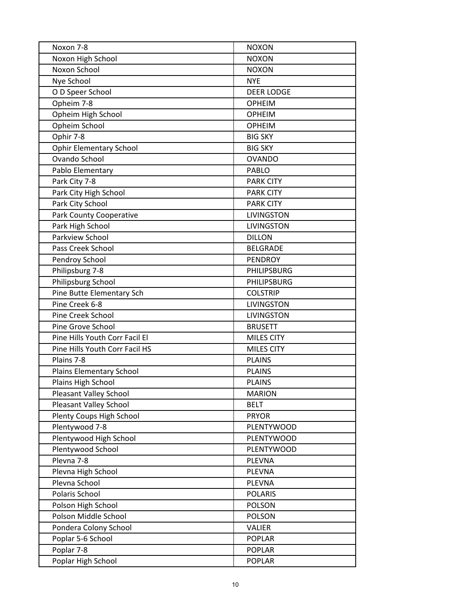| Noxon 7-8                      | <b>NOXON</b>      |
|--------------------------------|-------------------|
| Noxon High School              | <b>NOXON</b>      |
| Noxon School                   | <b>NOXON</b>      |
| Nye School                     | <b>NYE</b>        |
| O D Speer School               | <b>DEER LODGE</b> |
| Opheim 7-8                     | <b>OPHEIM</b>     |
| Opheim High School             | <b>OPHEIM</b>     |
| Opheim School                  | <b>OPHEIM</b>     |
| Ophir 7-8                      | <b>BIG SKY</b>    |
| <b>Ophir Elementary School</b> | <b>BIG SKY</b>    |
| Ovando School                  | <b>OVANDO</b>     |
| Pablo Elementary               | <b>PABLO</b>      |
| Park City 7-8                  | <b>PARK CITY</b>  |
| Park City High School          | <b>PARK CITY</b>  |
| Park City School               | <b>PARK CITY</b>  |
| <b>Park County Cooperative</b> | <b>LIVINGSTON</b> |
| Park High School               | <b>LIVINGSTON</b> |
| Parkview School                | <b>DILLON</b>     |
| Pass Creek School              | <b>BELGRADE</b>   |
| Pendroy School                 | <b>PENDROY</b>    |
| Philipsburg 7-8                | PHILIPSBURG       |
| Philipsburg School             | PHILIPSBURG       |
| Pine Butte Elementary Sch      | <b>COLSTRIP</b>   |
| Pine Creek 6-8                 | <b>LIVINGSTON</b> |
| Pine Creek School              | <b>LIVINGSTON</b> |
| Pine Grove School              | <b>BRUSETT</b>    |
| Pine Hills Youth Corr Facil El | MILES CITY        |
| Pine Hills Youth Corr Facil HS | MILES CITY        |
| Plains 7-8                     | <b>PLAINS</b>     |
| Plains Elementary School       | <b>PLAINS</b>     |
| Plains High School             | <b>PLAINS</b>     |
| Pleasant Valley School         | <b>MARION</b>     |
| <b>Pleasant Valley School</b>  | <b>BELT</b>       |
| Plenty Coups High School       | <b>PRYOR</b>      |
| Plentywood 7-8                 | <b>PLENTYWOOD</b> |
| Plentywood High School         | <b>PLENTYWOOD</b> |
| Plentywood School              | <b>PLENTYWOOD</b> |
| Plevna 7-8                     | PLEVNA            |
| Plevna High School             | PLEVNA            |
| Plevna School                  | PLEVNA            |
| Polaris School                 | <b>POLARIS</b>    |
| Polson High School             | <b>POLSON</b>     |
| Polson Middle School           | <b>POLSON</b>     |
| Pondera Colony School          | <b>VALIER</b>     |
| Poplar 5-6 School              | POPLAR            |
| Poplar 7-8                     | <b>POPLAR</b>     |
| Poplar High School             | <b>POPLAR</b>     |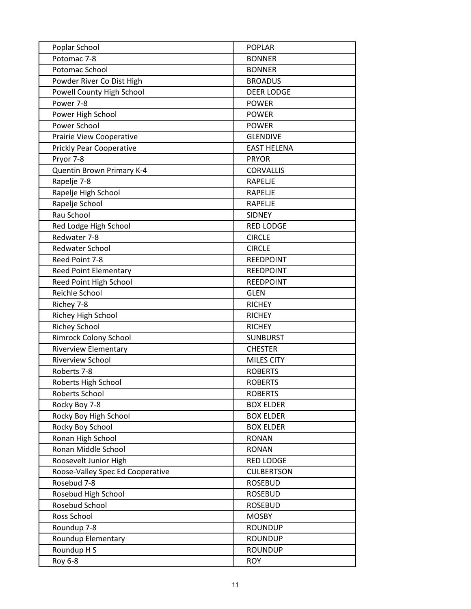| Poplar School                    | <b>POPLAR</b>      |
|----------------------------------|--------------------|
| Potomac 7-8                      | <b>BONNER</b>      |
| Potomac School                   | <b>BONNER</b>      |
| Powder River Co Dist High        | <b>BROADUS</b>     |
| Powell County High School        | <b>DEER LODGE</b>  |
| Power 7-8                        | <b>POWER</b>       |
| Power High School                | <b>POWER</b>       |
| Power School                     | <b>POWER</b>       |
| Prairie View Cooperative         | <b>GLENDIVE</b>    |
| <b>Prickly Pear Cooperative</b>  | <b>EAST HELENA</b> |
| Pryor 7-8                        | <b>PRYOR</b>       |
| Quentin Brown Primary K-4        | <b>CORVALLIS</b>   |
| Rapelje 7-8                      | <b>RAPELJE</b>     |
| Rapelje High School              | <b>RAPELJE</b>     |
| Rapelje School                   | <b>RAPELJE</b>     |
| Rau School                       | <b>SIDNEY</b>      |
| Red Lodge High School            | <b>RED LODGE</b>   |
| Redwater 7-8                     | <b>CIRCLE</b>      |
| <b>Redwater School</b>           | <b>CIRCLE</b>      |
| Reed Point 7-8                   | <b>REEDPOINT</b>   |
| <b>Reed Point Elementary</b>     | <b>REEDPOINT</b>   |
| Reed Point High School           | <b>REEDPOINT</b>   |
| Reichle School                   | <b>GLEN</b>        |
| Richey 7-8                       | <b>RICHEY</b>      |
| Richey High School               | <b>RICHEY</b>      |
| <b>Richey School</b>             | <b>RICHEY</b>      |
| <b>Rimrock Colony School</b>     | <b>SUNBURST</b>    |
| <b>Riverview Elementary</b>      | <b>CHESTER</b>     |
| <b>Riverview School</b>          | <b>MILES CITY</b>  |
| Roberts 7-8                      | <b>ROBERTS</b>     |
| Roberts High School              | <b>ROBERTS</b>     |
| Roberts School                   | <b>ROBERTS</b>     |
| Rocky Boy 7-8                    | <b>BOX ELDER</b>   |
| Rocky Boy High School            | <b>BOX ELDER</b>   |
| Rocky Boy School                 | <b>BOX ELDER</b>   |
| Ronan High School                | <b>RONAN</b>       |
| Ronan Middle School              | <b>RONAN</b>       |
| Roosevelt Junior High            | <b>RED LODGE</b>   |
| Roose-Valley Spec Ed Cooperative | <b>CULBERTSON</b>  |
| Rosebud 7-8                      | <b>ROSEBUD</b>     |
| Rosebud High School              | <b>ROSEBUD</b>     |
| Rosebud School                   | <b>ROSEBUD</b>     |
| Ross School                      | <b>MOSBY</b>       |
| Roundup 7-8                      | <b>ROUNDUP</b>     |
| Roundup Elementary               | <b>ROUNDUP</b>     |
| Roundup H S                      | <b>ROUNDUP</b>     |
| Roy 6-8                          | <b>ROY</b>         |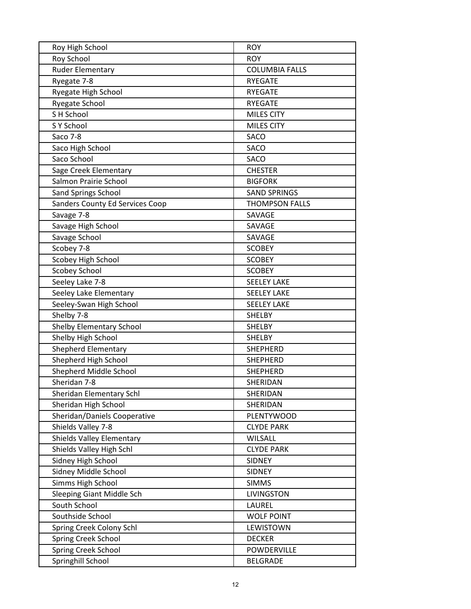| Roy High School                  | <b>ROY</b>            |
|----------------------------------|-----------------------|
| Roy School                       | <b>ROY</b>            |
| Ruder Elementary                 | <b>COLUMBIA FALLS</b> |
| Ryegate 7-8                      | <b>RYEGATE</b>        |
| Ryegate High School              | <b>RYEGATE</b>        |
| Ryegate School                   | <b>RYEGATE</b>        |
| S H School                       | MILES CITY            |
| S Y School                       | <b>MILES CITY</b>     |
| Saco 7-8                         | SACO                  |
| Saco High School                 | <b>SACO</b>           |
| Saco School                      | <b>SACO</b>           |
| Sage Creek Elementary            | <b>CHESTER</b>        |
| Salmon Prairie School            | <b>BIGFORK</b>        |
| Sand Springs School              | <b>SAND SPRINGS</b>   |
| Sanders County Ed Services Coop  | <b>THOMPSON FALLS</b> |
| Savage 7-8                       | SAVAGE                |
| Savage High School               | SAVAGE                |
| Savage School                    | SAVAGE                |
| Scobey 7-8                       | <b>SCOBEY</b>         |
| Scobey High School               | <b>SCOBEY</b>         |
| <b>Scobey School</b>             | <b>SCOBEY</b>         |
| Seeley Lake 7-8                  | <b>SEELEY LAKE</b>    |
| Seeley Lake Elementary           | <b>SEELEY LAKE</b>    |
| Seeley-Swan High School          | <b>SEELEY LAKE</b>    |
| Shelby 7-8                       | <b>SHELBY</b>         |
| Shelby Elementary School         | <b>SHELBY</b>         |
| Shelby High School               | <b>SHELBY</b>         |
| <b>Shepherd Elementary</b>       | <b>SHEPHERD</b>       |
| Shepherd High School             | <b>SHEPHERD</b>       |
| Shepherd Middle School           | <b>SHEPHERD</b>       |
| Sheridan 7-8                     | SHERIDAN              |
| Sheridan Elementary Schl         | SHERIDAN              |
| Sheridan High School             | SHERIDAN              |
| Sheridan/Daniels Cooperative     | <b>PLENTYWOOD</b>     |
| Shields Valley 7-8               | <b>CLYDE PARK</b>     |
| <b>Shields Valley Elementary</b> | WILSALL               |
| Shields Valley High Schl         | <b>CLYDE PARK</b>     |
| Sidney High School               | <b>SIDNEY</b>         |
| Sidney Middle School             | <b>SIDNEY</b>         |
| Simms High School                | <b>SIMMS</b>          |
| Sleeping Giant Middle Sch        | LIVINGSTON            |
| South School                     | LAUREL                |
| Southside School                 | <b>WOLF POINT</b>     |
| Spring Creek Colony Schl         | LEWISTOWN             |
| Spring Creek School              | <b>DECKER</b>         |
| Spring Creek School              | POWDERVILLE           |
| Springhill School                | <b>BELGRADE</b>       |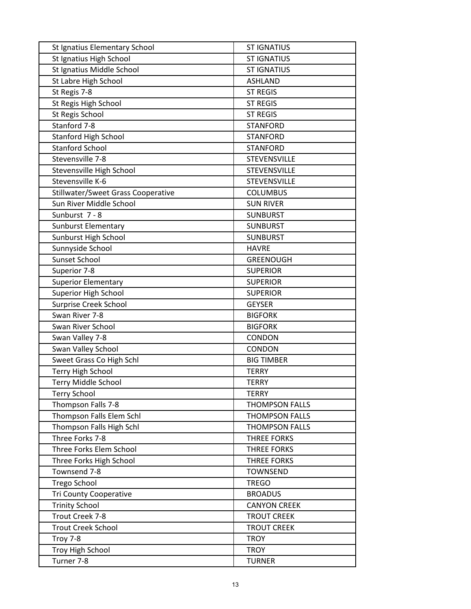| St Ignatius Elementary School             | <b>ST IGNATIUS</b>    |
|-------------------------------------------|-----------------------|
| St Ignatius High School                   | <b>ST IGNATIUS</b>    |
| St Ignatius Middle School                 | <b>ST IGNATIUS</b>    |
| St Labre High School                      | <b>ASHLAND</b>        |
| St Regis 7-8                              | <b>ST REGIS</b>       |
| St Regis High School                      | <b>ST REGIS</b>       |
| St Regis School                           | <b>ST REGIS</b>       |
| Stanford 7-8                              | <b>STANFORD</b>       |
| <b>Stanford High School</b>               | <b>STANFORD</b>       |
| <b>Stanford School</b>                    | <b>STANFORD</b>       |
| Stevensville 7-8                          | STEVENSVILLE          |
| Stevensville High School                  | STEVENSVILLE          |
| Stevensville K-6                          | STEVENSVILLE          |
| <b>Stillwater/Sweet Grass Cooperative</b> | <b>COLUMBUS</b>       |
| Sun River Middle School                   | <b>SUN RIVER</b>      |
| Sunburst 7 - 8                            | <b>SUNBURST</b>       |
| Sunburst Elementary                       | <b>SUNBURST</b>       |
| Sunburst High School                      | <b>SUNBURST</b>       |
| Sunnyside School                          | <b>HAVRE</b>          |
| Sunset School                             | <b>GREENOUGH</b>      |
| Superior 7-8                              | <b>SUPERIOR</b>       |
| <b>Superior Elementary</b>                | <b>SUPERIOR</b>       |
| <b>Superior High School</b>               | <b>SUPERIOR</b>       |
| <b>Surprise Creek School</b>              | <b>GEYSER</b>         |
| Swan River 7-8                            | <b>BIGFORK</b>        |
| Swan River School                         | <b>BIGFORK</b>        |
| Swan Valley 7-8                           | <b>CONDON</b>         |
| Swan Valley School                        | CONDON                |
| Sweet Grass Co High Schl                  | <b>BIG TIMBER</b>     |
| Terry High School                         | <b>TERRY</b>          |
| <b>Terry Middle School</b>                | <b>TERRY</b>          |
| <b>Terry School</b>                       | <b>TERRY</b>          |
| Thompson Falls 7-8                        | <b>THOMPSON FALLS</b> |
| Thompson Falls Elem Schl                  | <b>THOMPSON FALLS</b> |
| Thompson Falls High Schl                  | THOMPSON FALLS        |
| Three Forks 7-8                           | <b>THREE FORKS</b>    |
| Three Forks Elem School                   | <b>THREE FORKS</b>    |
| Three Forks High School                   | <b>THREE FORKS</b>    |
| Townsend 7-8                              | <b>TOWNSEND</b>       |
| <b>Trego School</b>                       | <b>TREGO</b>          |
| <b>Tri County Cooperative</b>             | <b>BROADUS</b>        |
| <b>Trinity School</b>                     | <b>CANYON CREEK</b>   |
| Trout Creek 7-8                           | <b>TROUT CREEK</b>    |
| <b>Trout Creek School</b>                 | <b>TROUT CREEK</b>    |
| Troy 7-8                                  | <b>TROY</b>           |
| Troy High School                          | <b>TROY</b>           |
| Turner 7-8                                | <b>TURNER</b>         |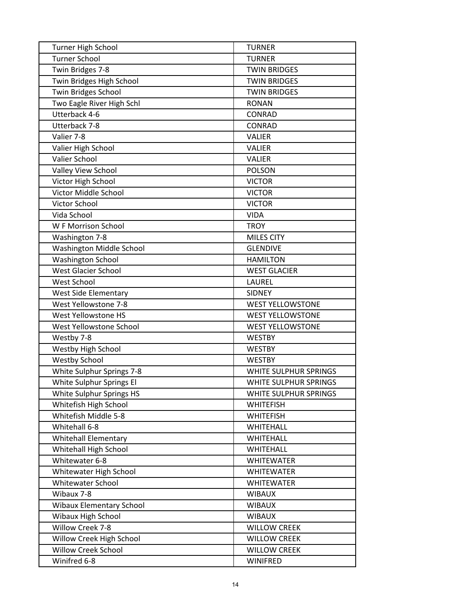| Turner High School              | <b>TURNER</b>           |
|---------------------------------|-------------------------|
| <b>Turner School</b>            | <b>TURNER</b>           |
| Twin Bridges 7-8                | <b>TWIN BRIDGES</b>     |
| Twin Bridges High School        | <b>TWIN BRIDGES</b>     |
| Twin Bridges School             | <b>TWIN BRIDGES</b>     |
| Two Eagle River High Schl       | <b>RONAN</b>            |
| Utterback 4-6                   | CONRAD                  |
| Utterback 7-8                   | CONRAD                  |
| Valier 7-8                      | <b>VALIER</b>           |
| Valier High School              | <b>VALIER</b>           |
| Valier School                   | <b>VALIER</b>           |
| Valley View School              | <b>POLSON</b>           |
| Victor High School              | <b>VICTOR</b>           |
| Victor Middle School            | <b>VICTOR</b>           |
| Victor School                   | <b>VICTOR</b>           |
| Vida School                     | <b>VIDA</b>             |
| W F Morrison School             | <b>TROY</b>             |
| Washington 7-8                  | <b>MILES CITY</b>       |
| Washington Middle School        | <b>GLENDIVE</b>         |
| <b>Washington School</b>        | <b>HAMILTON</b>         |
| <b>West Glacier School</b>      | <b>WEST GLACIER</b>     |
| West School                     | LAUREL                  |
| <b>West Side Elementary</b>     | <b>SIDNEY</b>           |
| West Yellowstone 7-8            | <b>WEST YELLOWSTONE</b> |
| West Yellowstone HS             | <b>WEST YELLOWSTONE</b> |
| West Yellowstone School         | <b>WEST YELLOWSTONE</b> |
| Westby 7-8                      | <b>WESTBY</b>           |
| Westby High School              | <b>WESTBY</b>           |
| <b>Westby School</b>            | <b>WESTBY</b>           |
| White Sulphur Springs 7-8       | WHITE SULPHUR SPRINGS   |
| White Sulphur Springs El        | WHITE SULPHUR SPRINGS   |
| White Sulphur Springs HS        | WHITE SULPHUR SPRINGS   |
| Whitefish High School           | <b>WHITEFISH</b>        |
| Whitefish Middle 5-8            | <b>WHITEFISH</b>        |
| Whitehall 6-8                   | <b>WHITEHALL</b>        |
| <b>Whitehall Elementary</b>     | <b>WHITEHALL</b>        |
| Whitehall High School           | WHITEHALL               |
| Whitewater 6-8                  | <b>WHITEWATER</b>       |
| Whitewater High School          | <b>WHITEWATER</b>       |
| <b>Whitewater School</b>        | <b>WHITEWATER</b>       |
| Wibaux 7-8                      | <b>WIBAUX</b>           |
| <b>Wibaux Elementary School</b> | <b>WIBAUX</b>           |
| Wibaux High School              | <b>WIBAUX</b>           |
| Willow Creek 7-8                | <b>WILLOW CREEK</b>     |
| Willow Creek High School        | <b>WILLOW CREEK</b>     |
| <b>Willow Creek School</b>      | <b>WILLOW CREEK</b>     |
| Winifred 6-8                    | WINIFRED                |